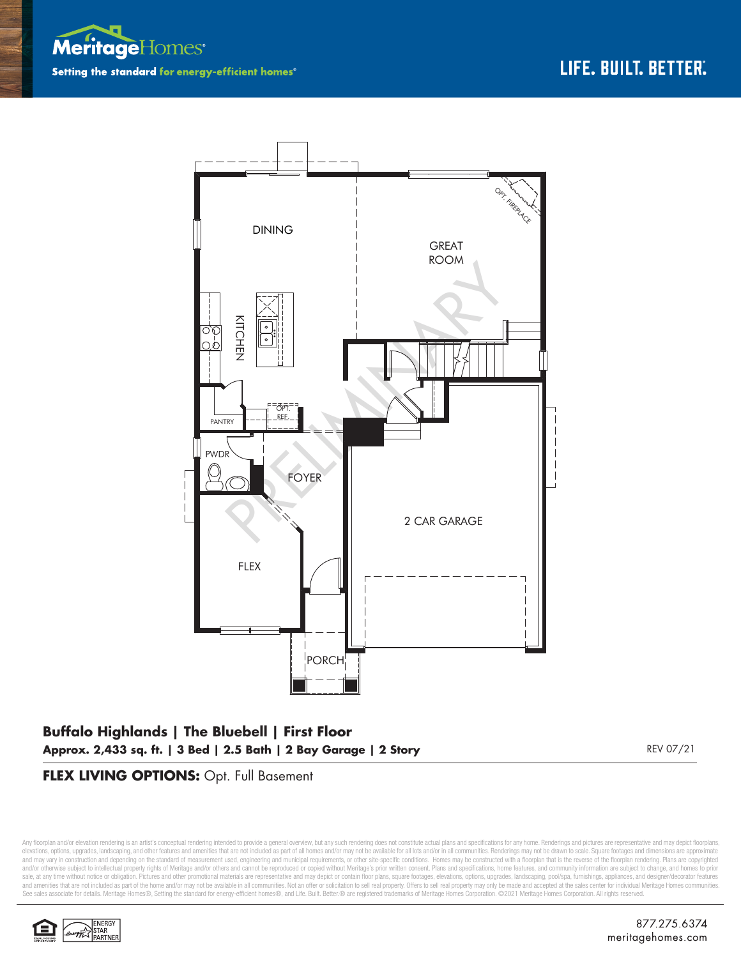



# **Buffalo Highlands | The Bluebell | First Floor Approx. 2,433 sq. ft. | 3 Bed | 2.5 Bath | 2 Bay Garage | 2 Story** REV 07/21

### **FLEX LIVING OPTIONS:** Opt. Full Basement

Any floorplan and/or elevation rendering is an artist's conceptual rendering intended to provide a general overview, but any such rendering does not constitute actual plans and specifications for any home. Renderings and p elevations, options, upgrades, landscaping, and other features and amenities that are not included as part of all homes and/or may not be available for all lots and/or in all communities. Renderings may not be drawn to sca and may vary in construction and depending on the standard of measurement used, engineering and municipal requirements, or other site-specific conditions. Homes may be constructed with a floorplan that is the reverse of th and/or otherwise subject to intellectual property rights of Meritage and/or others and cannot be reproduced or copied without Meritage's prior written consent. Plans and specifications, home features, and community informa sale, at any time without notice or obligation. Pictures and other promotional materials are representative and may depict or contain floor plans, square footages, elevations, options, upgrades, landscaping, pool/spa, furn See sales associate for details. Meritage Homes®, Setting the standard for energy-efficient homes®, and Life. Built. Better. @ are registered trademarks of Meritage Homes Corporation. ©2021 Meritage Homes Corporation. All

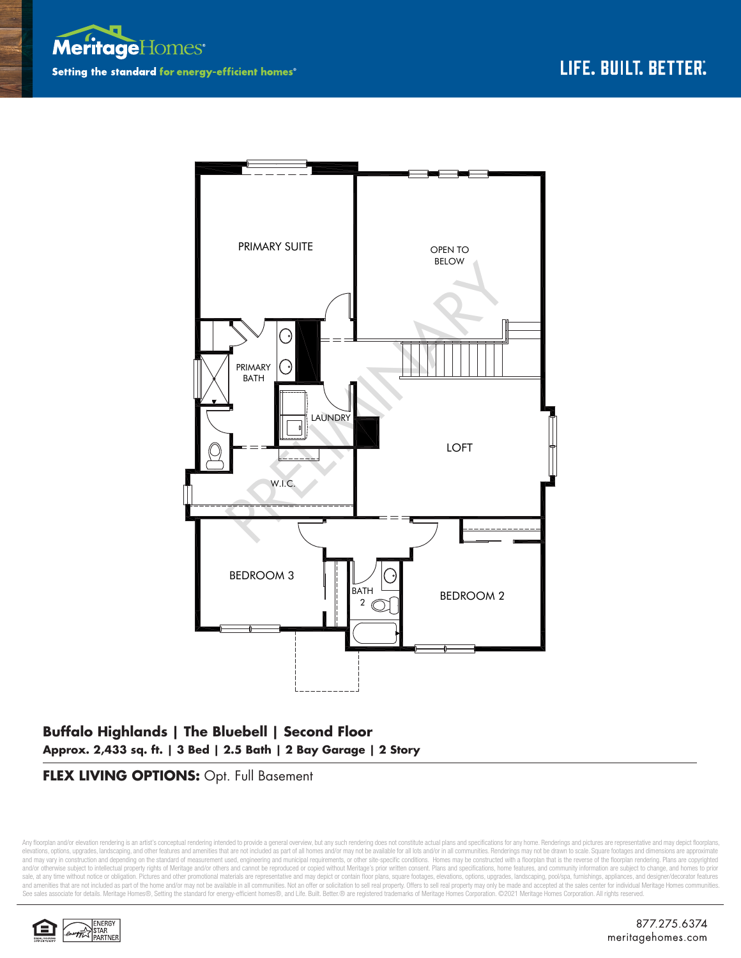



## **Buffalo Highlands | The Bluebell | Second Floor Approx. 2,433 sq. ft. | 3 Bed | 2.5 Bath | 2 Bay Garage | 2 Story**

### **FLEX LIVING OPTIONS:** Opt. Full Basement

Any floorplan and/or elevation rendering is an artist's conceptual rendering intended to provide a general overview, but any such rendering does not constitute actual plans and specifications for any home. Renderings and p elevations, options, upgrades, landscaping, and other features and amenities that are not included as part of all homes and/or may not be available for all lots and/or in all communities. Renderings may not be drawn to sca and may vary in construction and depending on the standard of measurement used, engineering and municipal requirements, or other site-specific conditions. Homes may be constructed with a floorplan that is the reverse of th and/or otherwise subject to intellectual property rights of Meritage and/or others and cannot be reproduced or copied without Meritage's prior written consent. Plans and specifications, home features, and community informa sale, at any time without notice or obligation. Pictures and other promotional materials are representative and may depict or contain floor plans, square footages, elevations, options, upgrades, landscaping, pool/spa, furn See sales associate for details. Meritage Homes®, Setting the standard for energy-efficient homes®, and Life. Built. Better. @ are registered trademarks of Meritage Homes Corporation. ©2021 Meritage Homes Corporation. All